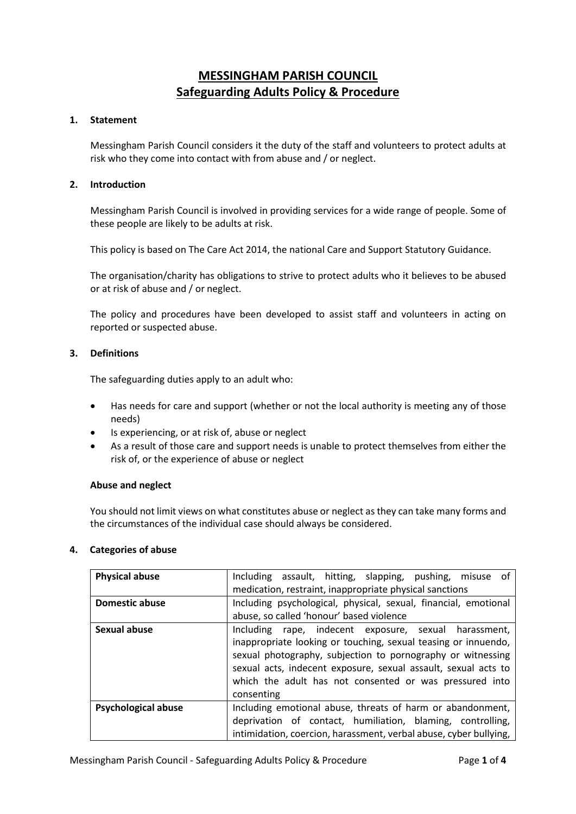# **MESSINGHAM PARISH COUNCIL Safeguarding Adults Policy & Procedure**

# **1. Statement**

Messingham Parish Council considers it the duty of the staff and volunteers to protect adults at risk who they come into contact with from abuse and / or neglect.

### **2. Introduction**

Messingham Parish Council is involved in providing services for a wide range of people. Some of these people are likely to be adults at risk.

This policy is based on The Care Act 2014, the national Care and Support Statutory Guidance.

The organisation/charity has obligations to strive to protect adults who it believes to be abused or at risk of abuse and / or neglect.

The policy and procedures have been developed to assist staff and volunteers in acting on reported or suspected abuse.

### **3. Definitions**

The safeguarding duties apply to an adult who:

- Has needs for care and support (whether or not the local authority is meeting any of those needs)
- Is experiencing, or at risk of, abuse or neglect
- As a result of those care and support needs is unable to protect themselves from either the risk of, or the experience of abuse or neglect

#### **Abuse and neglect**

You should not limit views on what constitutes abuse or neglect as they can take many forms and the circumstances of the individual case should always be considered.

### **4. Categories of abuse**

| <b>Physical abuse</b>      | Including assault, hitting, slapping, pushing, misuse of                                                                                                                                                                                                                                                                          |
|----------------------------|-----------------------------------------------------------------------------------------------------------------------------------------------------------------------------------------------------------------------------------------------------------------------------------------------------------------------------------|
|                            | medication, restraint, inappropriate physical sanctions                                                                                                                                                                                                                                                                           |
| <b>Domestic abuse</b>      | Including psychological, physical, sexual, financial, emotional                                                                                                                                                                                                                                                                   |
|                            | abuse, so called 'honour' based violence                                                                                                                                                                                                                                                                                          |
| Sexual abuse               | Including rape, indecent exposure, sexual harassment,<br>inappropriate looking or touching, sexual teasing or innuendo,<br>sexual photography, subjection to pornography or witnessing<br>sexual acts, indecent exposure, sexual assault, sexual acts to<br>which the adult has not consented or was pressured into<br>consenting |
| <b>Psychological abuse</b> | Including emotional abuse, threats of harm or abandonment,<br>deprivation of contact, humiliation, blaming, controlling,<br>intimidation, coercion, harassment, verbal abuse, cyber bullying,                                                                                                                                     |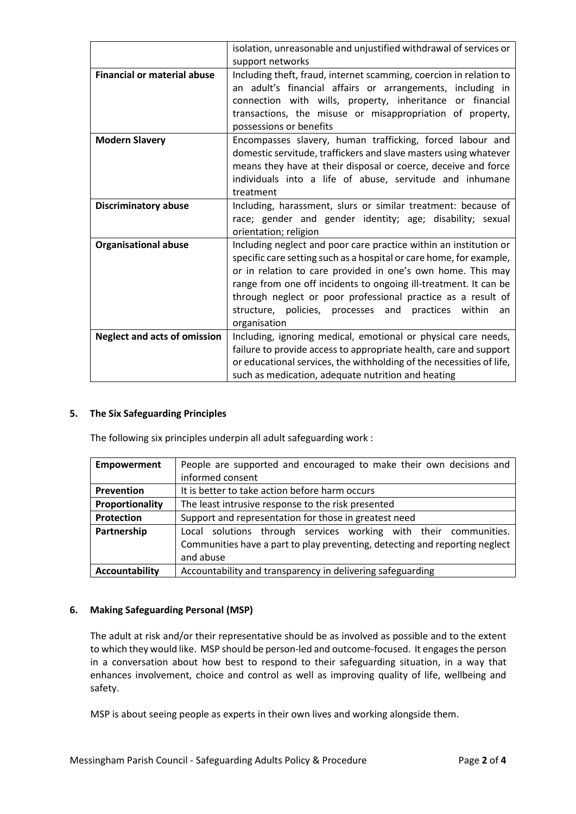|                                     | isolation, unreasonable and unjustified withdrawal of services or                                                                                                                                                                                                                                                                                                                                                        |
|-------------------------------------|--------------------------------------------------------------------------------------------------------------------------------------------------------------------------------------------------------------------------------------------------------------------------------------------------------------------------------------------------------------------------------------------------------------------------|
|                                     | support networks                                                                                                                                                                                                                                                                                                                                                                                                         |
| <b>Financial or material abuse</b>  | Including theft, fraud, internet scamming, coercion in relation to<br>an adult's financial affairs or arrangements, including in                                                                                                                                                                                                                                                                                         |
|                                     | connection with wills, property, inheritance or financial                                                                                                                                                                                                                                                                                                                                                                |
|                                     | transactions, the misuse or misappropriation of property,                                                                                                                                                                                                                                                                                                                                                                |
|                                     | possessions or benefits                                                                                                                                                                                                                                                                                                                                                                                                  |
| <b>Modern Slavery</b>               | Encompasses slavery, human trafficking, forced labour and<br>domestic servitude, traffickers and slave masters using whatever<br>means they have at their disposal or coerce, deceive and force                                                                                                                                                                                                                          |
|                                     | individuals into a life of abuse, servitude and inhumane                                                                                                                                                                                                                                                                                                                                                                 |
|                                     | treatment                                                                                                                                                                                                                                                                                                                                                                                                                |
| <b>Discriminatory abuse</b>         | Including, harassment, slurs or similar treatment: because of<br>race; gender and gender identity; age; disability; sexual<br>orientation; religion                                                                                                                                                                                                                                                                      |
| <b>Organisational abuse</b>         | Including neglect and poor care practice within an institution or<br>specific care setting such as a hospital or care home, for example,<br>or in relation to care provided in one's own home. This may<br>range from one off incidents to ongoing ill-treatment. It can be<br>through neglect or poor professional practice as a result of<br>structure, policies, processes and practices within<br>an<br>organisation |
| <b>Neglect and acts of omission</b> | Including, ignoring medical, emotional or physical care needs,                                                                                                                                                                                                                                                                                                                                                           |
|                                     | failure to provide access to appropriate health, care and support<br>or educational services, the withholding of the necessities of life,<br>such as medication, adequate nutrition and heating                                                                                                                                                                                                                          |
|                                     |                                                                                                                                                                                                                                                                                                                                                                                                                          |

# **5. The Six Safeguarding Principles**

The following six principles underpin all adult safeguarding work :

| <b>Empowerment</b> | People are supported and encouraged to make their own decisions and         |
|--------------------|-----------------------------------------------------------------------------|
|                    | informed consent                                                            |
| Prevention         | It is better to take action before harm occurs                              |
| Proportionality    | The least intrusive response to the risk presented                          |
| Protection         | Support and representation for those in greatest need                       |
| Partnership        | Local solutions through services working with their communities.            |
|                    | Communities have a part to play preventing, detecting and reporting neglect |
|                    | and abuse                                                                   |
| Accountability     | Accountability and transparency in delivering safeguarding                  |

# **6. Making Safeguarding Personal (MSP)**

The adult at risk and/or their representative should be as involved as possible and to the extent to which they would like. MSP should be person-led and outcome-focused. It engages the person in a conversation about how best to respond to their safeguarding situation, in a way that enhances involvement, choice and control as well as improving quality of life, wellbeing and safety.

MSP is about seeing people as experts in their own lives and working alongside them.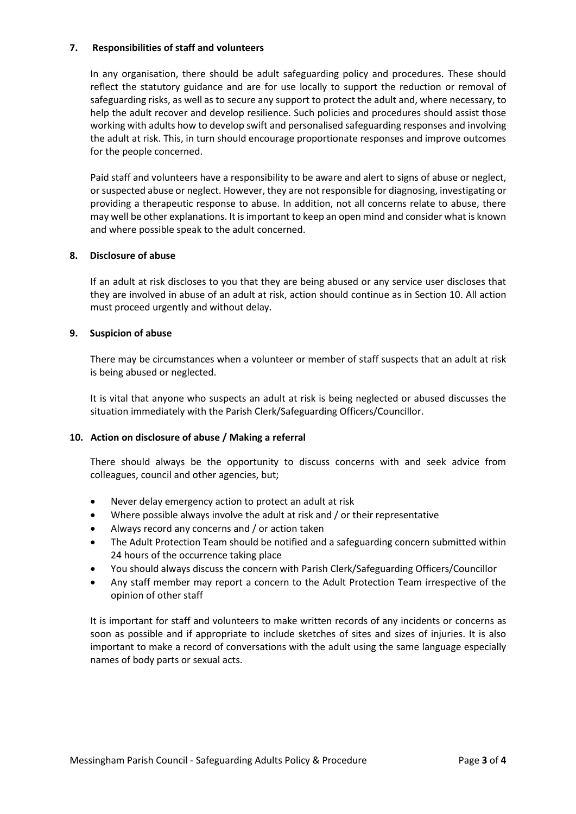# **7. Responsibilities of staff and volunteers**

In any organisation, there should be adult safeguarding policy and procedures. These should reflect the statutory guidance and are for use locally to support the reduction or removal of safeguarding risks, as well as to secure any support to protect the adult and, where necessary, to help the adult recover and develop resilience. Such policies and procedures should assist those working with adults how to develop swift and personalised safeguarding responses and involving the adult at risk. This, in turn should encourage proportionate responses and improve outcomes for the people concerned.

Paid staff and volunteers have a responsibility to be aware and alert to signs of abuse or neglect, or suspected abuse or neglect. However, they are not responsible for diagnosing, investigating or providing a therapeutic response to abuse. In addition, not all concerns relate to abuse, there may well be other explanations. It is important to keep an open mind and consider what is known and where possible speak to the adult concerned.

### **8. Disclosure of abuse**

If an adult at risk discloses to you that they are being abused or any service user discloses that they are involved in abuse of an adult at risk, action should continue as in Section 10. All action must proceed urgently and without delay.

### **9. Suspicion of abuse**

There may be circumstances when a volunteer or member of staff suspects that an adult at risk is being abused or neglected.

It is vital that anyone who suspects an adult at risk is being neglected or abused discusses the situation immediately with the Parish Clerk/Safeguarding Officers/Councillor.

#### **10. Action on disclosure of abuse / Making a referral**

There should always be the opportunity to discuss concerns with and seek advice from colleagues, council and other agencies, but;

- Never delay emergency action to protect an adult at risk
- Where possible always involve the adult at risk and / or their representative
- Always record any concerns and / or action taken
- The Adult Protection Team should be notified and a safeguarding concern submitted within 24 hours of the occurrence taking place
- You should always discuss the concern with Parish Clerk/Safeguarding Officers/Councillor
- Any staff member may report a concern to the Adult Protection Team irrespective of the opinion of other staff

It is important for staff and volunteers to make written records of any incidents or concerns as soon as possible and if appropriate to include sketches of sites and sizes of injuries. It is also important to make a record of conversations with the adult using the same language especially names of body parts or sexual acts.